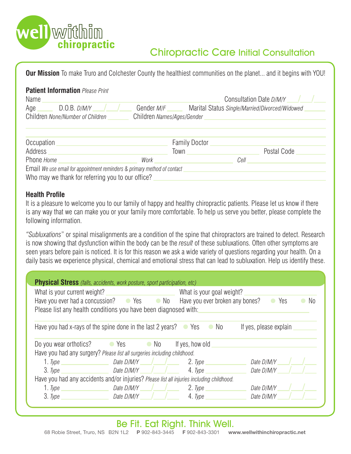

# Chiropractic Care Initial Consultation

**Our Mission** To make Truro and Colchester County the healthiest communities on the planet... and it begins with YOU!

| <b>Patient Information Please Print</b><br>Name         | Consultation Date D/M/Y                                                                           |  |
|---------------------------------------------------------|---------------------------------------------------------------------------------------------------|--|
| D.O.B. D/M/Y<br>Age<br>Children None/Number of Children | Gender <i>M/F</i><br>Marital Status Single/Married/Divorced/Widowed<br>Children Names/Ages/Gender |  |
|                                                         | $\cdots$                                                                                          |  |

| Occupation                                                               |      | <b>Family Doctor</b> |      |             |  |  |
|--------------------------------------------------------------------------|------|----------------------|------|-------------|--|--|
| Address                                                                  |      | Town                 |      | Postal Code |  |  |
| Phone Home                                                               | Work |                      | Cell |             |  |  |
| Email We use email for appointment reminders & primary method of contact |      |                      |      |             |  |  |
| Who may we thank for referring you to our office?                        |      |                      |      |             |  |  |

### **Health Profile**

It is a pleasure to welcome you to our family of happy and healthy chiropractic patients. Please let us know if there is any way that we can make you or your family more comfortable. To help us serve you better, please complete the following information.

*"Subluxations*" or spinal misalignments are a condition of the spine that chiropractors are trained to detect. Research is now showing that dysfunction within the body can be the *result* of these subluxations. Often other symptoms are seen years before pain is noticed. It is for this reason we ask a wide variety of questions regarding your health. On a daily basis we experience physical, chemical and emotional stress that can lead to subluxation. Help us identify these.

| <b>Physical Stress</b> (falls, accidents, work posture, sport participation, etc)         |                                 |                                                                                                                   |                        |  |  |
|-------------------------------------------------------------------------------------------|---------------------------------|-------------------------------------------------------------------------------------------------------------------|------------------------|--|--|
| What is your current weight?                                                              |                                 | What is your goal weight?                                                                                         |                        |  |  |
|                                                                                           |                                 | Have you ever had a concussion? $\bullet$ Yes $\bullet$ No Have you ever broken any bones?<br>$\bullet$ Yes<br>No |                        |  |  |
| Please list any health conditions you have been diagnosed with:                           |                                 |                                                                                                                   |                        |  |  |
|                                                                                           |                                 |                                                                                                                   |                        |  |  |
| Have you had x-rays of the spine done in the last 2 years? $\bullet$ Yes $\bullet$ No     |                                 |                                                                                                                   | If yes, please explain |  |  |
|                                                                                           |                                 |                                                                                                                   |                        |  |  |
| Do you wear orthotics? Compared the Second Vesconductor of No                             |                                 | If yes, how old                                                                                                   |                        |  |  |
| Have you had any surgery? Please list all surgeries including childhood.                  |                                 |                                                                                                                   |                        |  |  |
| 1. Type $\overline{\phantom{a}}$                                                          | Date $D/M/Y$ and $\blacksquare$ | 2. Type                                                                                                           | Date D/M/Y             |  |  |
| 3. Type                                                                                   | Date D/M/Y /                    | 4. Type                                                                                                           | Date D/M/Y             |  |  |
| Have you had any accidents and/or injuries? Please list all injuries including childhood. |                                 |                                                                                                                   |                        |  |  |
| 1. Type                                                                                   | Date D/M/Y                      | 2. Type                                                                                                           | Date D/M/Y             |  |  |
| 3. Type                                                                                   | Date $D/M/Y$                    | 4. Type                                                                                                           | Date D/M/Y             |  |  |
|                                                                                           |                                 |                                                                                                                   |                        |  |  |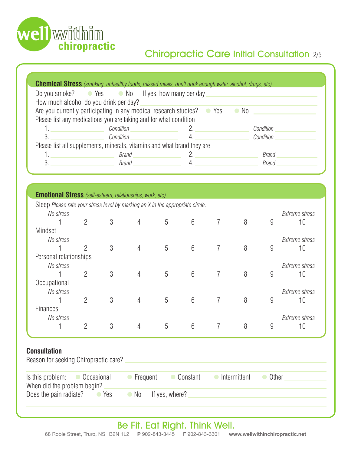

# Chiropractic Care Initial Consultation 2/5

| <b>Chemical Stress</b> (smoking, unhealthy foods, missed meals, don't drink enough water, alcohol, drugs, etc)                                                                                                                                                                                                                                                                                                                                               |                                                                   |                                                                                             |              |  |  |  |
|--------------------------------------------------------------------------------------------------------------------------------------------------------------------------------------------------------------------------------------------------------------------------------------------------------------------------------------------------------------------------------------------------------------------------------------------------------------|-------------------------------------------------------------------|---------------------------------------------------------------------------------------------|--------------|--|--|--|
|                                                                                                                                                                                                                                                                                                                                                                                                                                                              | Do you smoke? $\bullet$ Yes $\bullet$ No If yes, how many per day |                                                                                             |              |  |  |  |
| How much alcohol do you drink per day?                                                                                                                                                                                                                                                                                                                                                                                                                       |                                                                   |                                                                                             |              |  |  |  |
|                                                                                                                                                                                                                                                                                                                                                                                                                                                              |                                                                   | Are you currently participating in any medical research studies? $\bullet$ Yes $\bullet$ No |              |  |  |  |
|                                                                                                                                                                                                                                                                                                                                                                                                                                                              | Please list any medications you are taking and for what condition |                                                                                             |              |  |  |  |
| <u>1. _________________</u>                                                                                                                                                                                                                                                                                                                                                                                                                                  |                                                                   | Condition 2.                                                                                | Condition    |  |  |  |
| 3.<br>$\label{eq:2.1} \frac{1}{\sqrt{2}}\left(\frac{1}{\sqrt{2}}\right)^{2} \left(\frac{1}{\sqrt{2}}\right)^{2} \left(\frac{1}{\sqrt{2}}\right)^{2} \left(\frac{1}{\sqrt{2}}\right)^{2} \left(\frac{1}{\sqrt{2}}\right)^{2} \left(\frac{1}{\sqrt{2}}\right)^{2} \left(\frac{1}{\sqrt{2}}\right)^{2} \left(\frac{1}{\sqrt{2}}\right)^{2} \left(\frac{1}{\sqrt{2}}\right)^{2} \left(\frac{1}{\sqrt{2}}\right)^{2} \left(\frac{1}{\sqrt{2}}\right)^{2} \left(\$ | Condition                                                         |                                                                                             | Condition    |  |  |  |
| Please list all supplements, minerals, vitamins and what brand they are                                                                                                                                                                                                                                                                                                                                                                                      |                                                                   |                                                                                             |              |  |  |  |
|                                                                                                                                                                                                                                                                                                                                                                                                                                                              | Brand ______                                                      |                                                                                             | <b>Brand</b> |  |  |  |
| 3.                                                                                                                                                                                                                                                                                                                                                                                                                                                           | Brand                                                             |                                                                                             | <b>Brand</b> |  |  |  |
|                                                                                                                                                                                                                                                                                                                                                                                                                                                              |                                                                   |                                                                                             |              |  |  |  |

| <b>Emotional Stress</b> (self-esteem, relationships, work, etc)                |                |   |                |   |                 |                |   |                |                       |
|--------------------------------------------------------------------------------|----------------|---|----------------|---|-----------------|----------------|---|----------------|-----------------------|
| Sleep Please rate your stress level by marking an X in the appropriate circle. |                |   |                |   |                 |                |   |                |                       |
| No stress                                                                      |                |   |                |   |                 |                |   | Extreme stress |                       |
|                                                                                | $\overline{2}$ | 3 | 4              | 5 | $6\phantom{.}6$ |                | 8 | 9              | 10                    |
| Mindset                                                                        |                |   |                |   |                 |                |   |                |                       |
| No stress                                                                      |                |   |                |   |                 |                |   |                | <b>Extreme stress</b> |
|                                                                                | $\overline{2}$ | 3 | $\overline{4}$ | 5 | $6\phantom{1}$  | 7              | 8 | 9              | 10                    |
| Personal relationships                                                         |                |   |                |   |                 |                |   |                |                       |
| No stress                                                                      |                |   |                |   |                 |                |   |                | Extreme stress        |
|                                                                                | $\overline{2}$ | 3 | 4              | 5 | $6\phantom{1}$  | 7              | 8 | 9              | 10                    |
| Occupational                                                                   |                |   |                |   |                 |                |   |                |                       |
| No stress                                                                      |                |   |                |   |                 |                |   |                | Extreme stress        |
|                                                                                | $\overline{2}$ | 3 | $\overline{4}$ | 5 | $6\phantom{1}$  | $\overline{7}$ | 8 | 9              | 10                    |
| <b>Finances</b>                                                                |                |   |                |   |                 |                |   |                |                       |
| No stress                                                                      |                |   |                |   |                 |                |   |                | <b>Extreme stress</b> |
|                                                                                | $\overline{2}$ | 3 | 4              | 5 | $6\phantom{1}6$ | 7              | 8 | 9              | 10                    |
|                                                                                |                |   |                |   |                 |                |   |                |                       |

### **Consultation**

| Reason for seeking Chiropractic care?                                |                     |            |              |       |  |  |
|----------------------------------------------------------------------|---------------------|------------|--------------|-------|--|--|
| Is this problem: $\bullet$ Occasional<br>When did the problem begin? | Frequent            | • Constant | Intermittent | Other |  |  |
| Does the pain radiate? •• Yes                                        | • No If yes, where? |            |              |       |  |  |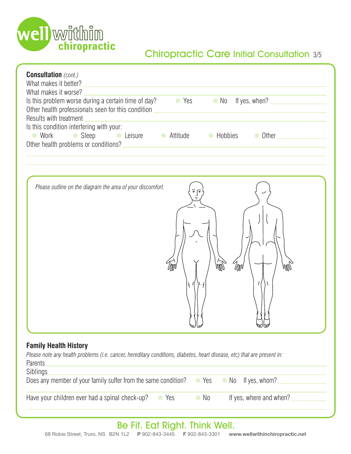

# Chiropractic Care Initial Consultation 3/5

| <b>Consultation</b> (cont.)<br>What makes it better?<br>What makes it worse?<br>Is this problem worse during a certain time of day?<br>$\bullet$ Yes<br>$\bullet$ No<br>If yes, when? $\qquad \qquad$<br>Other health professionals seen for this condition<br>Results with treatment<br>Is this condition interfering with your:<br>• Sleep • Leisure • Attitude • Hobbies • Other<br>● Work<br>Other health problems or conditions?<br>The manufacturer of the conditions of the conditions of the conditions of the conditions of the conditions of the conditions of the conditions of the conditions of the conditions of th |
|-----------------------------------------------------------------------------------------------------------------------------------------------------------------------------------------------------------------------------------------------------------------------------------------------------------------------------------------------------------------------------------------------------------------------------------------------------------------------------------------------------------------------------------------------------------------------------------------------------------------------------------|
| Please outline on the diagram the area of your discomfort.<br><i><sup>I</sup>llN</i><br>$\mathbb{U} \mathbb{U}$<br>WW<br>لسالسا<br>₩₩                                                                                                                                                                                                                                                                                                                                                                                                                                                                                             |
| <b>Family Health History</b><br>Please note any health problems (i.e. cancer, hereditary conditions, diabetes, heart disease, etc) that are present in:<br>Parents<br>Siblings<br>Does any member of your family suffer from the same condition?<br>If yes, whom?<br>Yes<br>$\bullet$ No<br>$\bullet$                                                                                                                                                                                                                                                                                                                             |
| Have your children ever had a spinal check-up?<br>If yes, where and when?<br>Yes<br>$\bullet$ No<br>$\bullet$                                                                                                                                                                                                                                                                                                                                                                                                                                                                                                                     |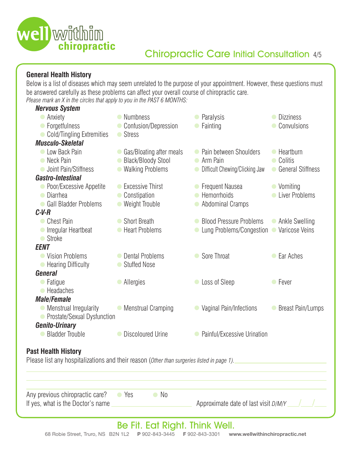

### **General Health History**

Below is a list of diseases which may seem unrelated to the purpose of your appointment. However, these questions must be answered carefully as these problems can affect your overall course of chiropractic care. *Please mark an X in the circles that apply to you in the PAST 6 MONTHS:*

| Any previous chiropractic care?<br>If yes, what is the Doctor's name                                                     | • Yes<br>$\bullet$ No                                                    | Approximate date of last visit D/M/Y                                       |                                                 |
|--------------------------------------------------------------------------------------------------------------------------|--------------------------------------------------------------------------|----------------------------------------------------------------------------|-------------------------------------------------|
| <b>Past Health History</b><br>Please list any hospitalizations and their reason (Other than surgeries listed in page 1). |                                                                          |                                                                            |                                                 |
| <b>Bladder Trouble</b>                                                                                                   | • Discoloured Urine                                                      | • Painful/Excessive Urination                                              |                                                 |
| • Menstrual Irregularity<br>• Prostate/Sexual Dysfunction<br><b>Genito-Urinary</b>                                       | • Menstrual Cramping                                                     | Vaginal Pain/Infections                                                    | • Breast Pain/Lumps                             |
| • Headaches<br><b>Male/Female</b>                                                                                        |                                                                          |                                                                            |                                                 |
| <b>General</b><br>• Fatigue                                                                                              | • Allergies                                                              | Loss of Sleep                                                              | • Fever                                         |
| <b>EENT</b><br>• Vision Problems<br>• Hearing Difficulty                                                                 | • Dental Problems<br>● Stuffed Nose                                      | Sore Throat<br>$\bullet$                                                   | • Ear Aches                                     |
| <b>Chest Pain</b><br>Irregular Heartbeat<br>● Stroke                                                                     | ● Short Breath<br>● Heart Problems                                       | • Blood Pressure Problems<br>Lung Problems/Congestion                      | • Ankle Swelling<br>Varicose Veins<br>$\bullet$ |
| $C-V-R$                                                                                                                  |                                                                          |                                                                            |                                                 |
| • Poor/Excessive Appetite<br>• Diarrhea<br>• Gall Bladder Problems                                                       | • Excessive Thirst<br>• Constipation<br>• Weight Trouble                 | • Frequent Nausea<br>• Hemorrhoids<br><b>Abdominal Cramps</b><br>$\bullet$ | • Vomiting<br>• Liver Problems                  |
| <b>Gastro-Intestinal</b>                                                                                                 |                                                                          |                                                                            |                                                 |
| Clow Back Pain<br>• Neck Pain<br><b>Joint Pain/Stiffness</b>                                                             | • Gas/Bloating after meals<br>• Black/Bloody Stool<br>• Walking Problems | • Pain between Shoulders<br>• Arm Pain<br>• Difficult Chewing/Clicking Jaw | • Heartburn<br>• Colitis<br>• General Stiffness |
| • Cold/Tingling Extremities<br><b>Musculo-Skeletal</b>                                                                   | ● Stress                                                                 |                                                                            |                                                 |
| <b>Nervous System</b><br>• Anxiety<br>• Forgetfulness                                                                    | • Numbness<br>• Confusion/Depression                                     | • Paralysis<br>Fainting                                                    | • Dizziness<br>Convulsions                      |
|                                                                                                                          |                                                                          |                                                                            |                                                 |